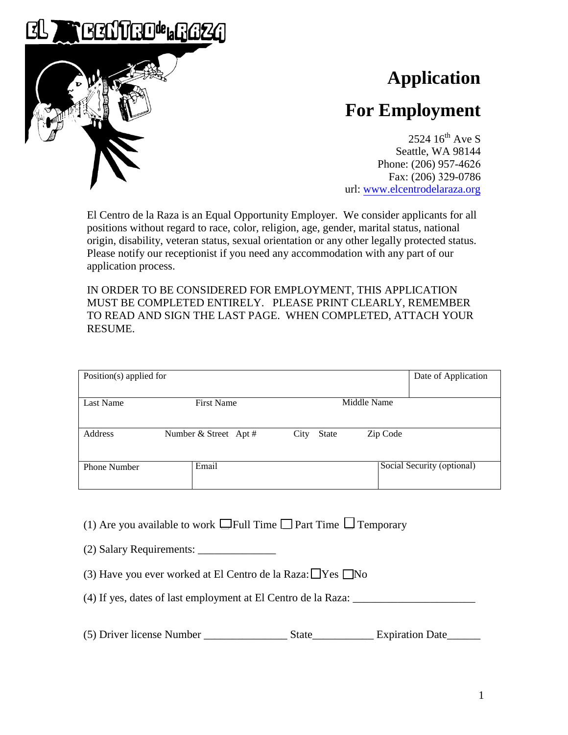

## **Application**

## **For Employment**

2524  $16^{th}$  Ave S Seattle, WA 98144 Phone: (206) 957-4626 Fax: (206) 329-0786 url: [www.elcentrodelaraza.org](http://www.elcentrodelaraza.org/)

El Centro de la Raza is an Equal Opportunity Employer. We consider applicants for all positions without regard to race, color, religion, age, gender, marital status, national origin, disability, veteran status, sexual orientation or any other legally protected status. Please notify our receptionist if you need any accommodation with any part of our application process.

IN ORDER TO BE CONSIDERED FOR EMPLOYMENT, THIS APPLICATION MUST BE COMPLETED ENTIRELY. PLEASE PRINT CLEARLY, REMEMBER TO READ AND SIGN THE LAST PAGE. WHEN COMPLETED, ATTACH YOUR RESUME.

| Position(s) applied for |                       |               |             | Date of Application        |
|-------------------------|-----------------------|---------------|-------------|----------------------------|
| Last Name               | <b>First Name</b>     |               | Middle Name |                            |
| Address                 | Number & Street Apt # | City<br>State | Zip Code    |                            |
| <b>Phone Number</b>     | Email                 |               |             | Social Security (optional) |

- (1) Are you available to work  $\Box$  Full Time  $\Box$  Part Time  $\Box$  Temporary
- (2) Salary Requirements: \_\_\_\_\_\_\_\_\_\_\_\_\_\_
- (3) Have you ever worked at El Centro de la Raza:  $\Box$  Yes  $\Box$  No
- (4) If yes, dates of last employment at El Centro de la Raza: \_\_\_\_\_\_\_\_\_\_\_\_\_\_\_\_\_\_\_\_\_\_
- (5) Driver license Number \_\_\_\_\_\_\_\_\_\_\_\_\_\_\_ State\_\_\_\_\_\_\_\_\_\_\_ Expiration Date\_\_\_\_\_\_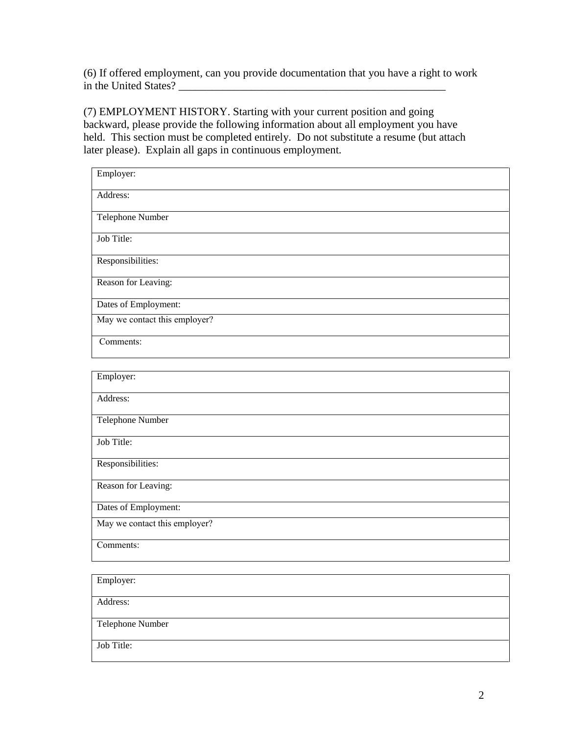(6) If offered employment, can you provide documentation that you have a right to work in the United States?

(7) EMPLOYMENT HISTORY. Starting with your current position and going backward, please provide the following information about all employment you have held. This section must be completed entirely. Do not substitute a resume (but attach later please). Explain all gaps in continuous employment*.*

| Employer:                     |
|-------------------------------|
| Address:                      |
| Telephone Number              |
| Job Title:                    |
| Responsibilities:             |
| Reason for Leaving:           |
| Dates of Employment:          |
| May we contact this employer? |
| Comments:                     |
|                               |

| Employer:                     |
|-------------------------------|
| Address:                      |
| Telephone Number              |
| Job Title:                    |
| Responsibilities:             |
| Reason for Leaving:           |
| Dates of Employment:          |
| May we contact this employer? |
| Comments:                     |

| Employer:        |
|------------------|
|                  |
| Address:         |
|                  |
| Telephone Number |
|                  |
| Job Title:       |
|                  |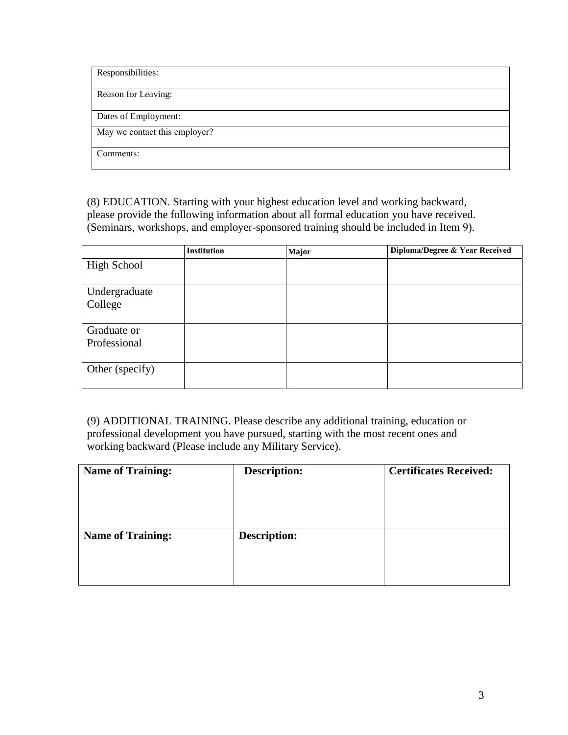| Responsibilities:             |
|-------------------------------|
| Reason for Leaving:           |
| Dates of Employment:          |
| May we contact this employer? |
| Comments:                     |

(8) EDUCATION. Starting with your highest education level and working backward, please provide the following information about all formal education you have received. (Seminars, workshops, and employer-sponsored training should be included in Item 9).

|                    | <b>Institution</b> | <b>Major</b> | Diploma/Degree & Year Received |
|--------------------|--------------------|--------------|--------------------------------|
| <b>High School</b> |                    |              |                                |
|                    |                    |              |                                |
| Undergraduate      |                    |              |                                |
| College            |                    |              |                                |
|                    |                    |              |                                |
| Graduate or        |                    |              |                                |
| Professional       |                    |              |                                |
|                    |                    |              |                                |
| Other (specify)    |                    |              |                                |
|                    |                    |              |                                |

(9) ADDITIONAL TRAINING. Please describe any additional training, education or professional development you have pursued, starting with the most recent ones and working backward (Please include any Military Service).

| <b>Name of Training:</b> | <b>Description:</b> | <b>Certificates Received:</b> |
|--------------------------|---------------------|-------------------------------|
|                          |                     |                               |
|                          |                     |                               |
|                          |                     |                               |
|                          |                     |                               |
| <b>Name of Training:</b> | <b>Description:</b> |                               |
|                          |                     |                               |
|                          |                     |                               |
|                          |                     |                               |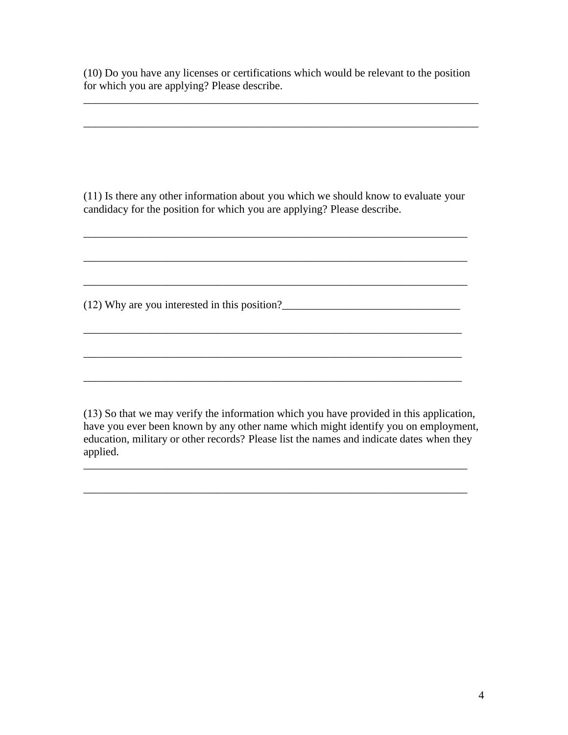(10) Do you have any licenses or certifications which would be relevant to the position for which you are applying? Please describe.

\_\_\_\_\_\_\_\_\_\_\_\_\_\_\_\_\_\_\_\_\_\_\_\_\_\_\_\_\_\_\_\_\_\_\_\_\_\_\_\_\_\_\_\_\_\_\_\_\_\_\_\_\_\_\_\_\_\_\_\_\_\_\_\_\_\_\_\_\_\_\_

\_\_\_\_\_\_\_\_\_\_\_\_\_\_\_\_\_\_\_\_\_\_\_\_\_\_\_\_\_\_\_\_\_\_\_\_\_\_\_\_\_\_\_\_\_\_\_\_\_\_\_\_\_\_\_\_\_\_\_\_\_\_\_\_\_\_\_\_\_\_\_

(11) Is there any other information about you which we should know to evaluate your candidacy for the position for which you are applying? Please describe.

\_\_\_\_\_\_\_\_\_\_\_\_\_\_\_\_\_\_\_\_\_\_\_\_\_\_\_\_\_\_\_\_\_\_\_\_\_\_\_\_\_\_\_\_\_\_\_\_\_\_\_\_\_\_\_\_\_\_\_\_\_\_\_\_\_\_\_\_\_

 $\mathcal{L}_\mathcal{L} = \mathcal{L}_\mathcal{L} = \mathcal{L}_\mathcal{L} = \mathcal{L}_\mathcal{L} = \mathcal{L}_\mathcal{L} = \mathcal{L}_\mathcal{L} = \mathcal{L}_\mathcal{L} = \mathcal{L}_\mathcal{L} = \mathcal{L}_\mathcal{L} = \mathcal{L}_\mathcal{L} = \mathcal{L}_\mathcal{L} = \mathcal{L}_\mathcal{L} = \mathcal{L}_\mathcal{L} = \mathcal{L}_\mathcal{L} = \mathcal{L}_\mathcal{L} = \mathcal{L}_\mathcal{L} = \mathcal{L}_\mathcal{L}$ 

\_\_\_\_\_\_\_\_\_\_\_\_\_\_\_\_\_\_\_\_\_\_\_\_\_\_\_\_\_\_\_\_\_\_\_\_\_\_\_\_\_\_\_\_\_\_\_\_\_\_\_\_\_\_\_\_\_\_\_\_\_\_\_\_\_\_\_\_

 $\mathcal{L}_\text{max} = \mathcal{L}_\text{max} = \mathcal{L}_\text{max} = \mathcal{L}_\text{max} = \mathcal{L}_\text{max} = \mathcal{L}_\text{max} = \mathcal{L}_\text{max} = \mathcal{L}_\text{max} = \mathcal{L}_\text{max} = \mathcal{L}_\text{max} = \mathcal{L}_\text{max} = \mathcal{L}_\text{max} = \mathcal{L}_\text{max} = \mathcal{L}_\text{max} = \mathcal{L}_\text{max} = \mathcal{L}_\text{max} = \mathcal{L}_\text{max} = \mathcal{L}_\text{max} = \mathcal{$ 

(12) Why are you interested in this position?\_\_\_\_\_\_\_\_\_\_\_\_\_\_\_\_\_\_\_\_\_\_\_\_\_\_\_\_\_\_\_\_

(13) So that we may verify the information which you have provided in this application, have you ever been known by any other name which might identify you on employment, education, military or other records? Please list the names and indicate dates when they applied.

\_\_\_\_\_\_\_\_\_\_\_\_\_\_\_\_\_\_\_\_\_\_\_\_\_\_\_\_\_\_\_\_\_\_\_\_\_\_\_\_\_\_\_\_\_\_\_\_\_\_\_\_\_\_\_\_\_\_\_\_\_\_\_\_\_\_\_\_\_

\_\_\_\_\_\_\_\_\_\_\_\_\_\_\_\_\_\_\_\_\_\_\_\_\_\_\_\_\_\_\_\_\_\_\_\_\_\_\_\_\_\_\_\_\_\_\_\_\_\_\_\_\_\_\_\_\_\_\_\_\_\_\_\_\_\_\_\_